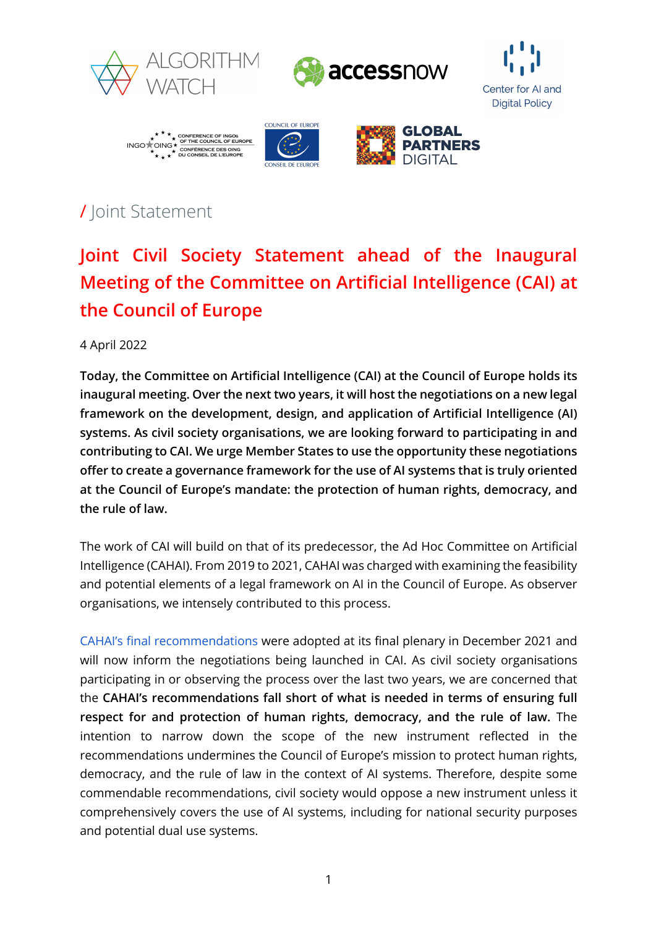











/ Joint Statement

# **Joint Civil Society Statement ahead of the Inaugural Meeting of the Committee on Artificial Intelligence (CAI) at the Council of Europe**

4 April 2022

**Today, the Committee on Artificial Intelligence (CAI) at the Council of Europe holds its inaugural meeting. Over the next two years, it will host the negotiations on a new legal framework on the development, design, and application of Artificial Intelligence (AI) systems. As civil society organisations, we are looking forward to participating in and contributing to CAI. We urge Member States to use the opportunity these negotiations offer to create a governance framework for the use of AI systems that is truly oriented at the Council of Europe's mandate: the protection of human rights, democracy, and the rule of law.** 

The work of CAI will build on that of its predecessor, the Ad Hoc Committee on Artificial Intelligence (CAHAI). From 2019 to 2021, CAHAI was charged with examining the feasibility and potential elements of a legal framework on AI in the Council of Europe. As observer organisations, we intensely contributed to this process.

[CAHAI's final recommendations](https://search.coe.int/cm/Pages/result_details.aspx?ObjectId=0900001680a4e8a5) were adopted at its final plenary in December 2021 and will now inform the negotiations being launched in CAI. As civil society organisations participating in or observing the process over the last two years, we are concerned that the **CAHAI's recommendations fall short of what is needed in terms of ensuring full respect for and protection of human rights, democracy, and the rule of law.** The intention to narrow down the scope of the new instrument reflected in the recommendations undermines the Council of Europe's mission to protect human rights, democracy, and the rule of law in the context of AI systems. Therefore, despite some commendable recommendations, civil society would oppose a new instrument unless it comprehensively covers the use of AI systems, including for national security purposes and potential dual use systems.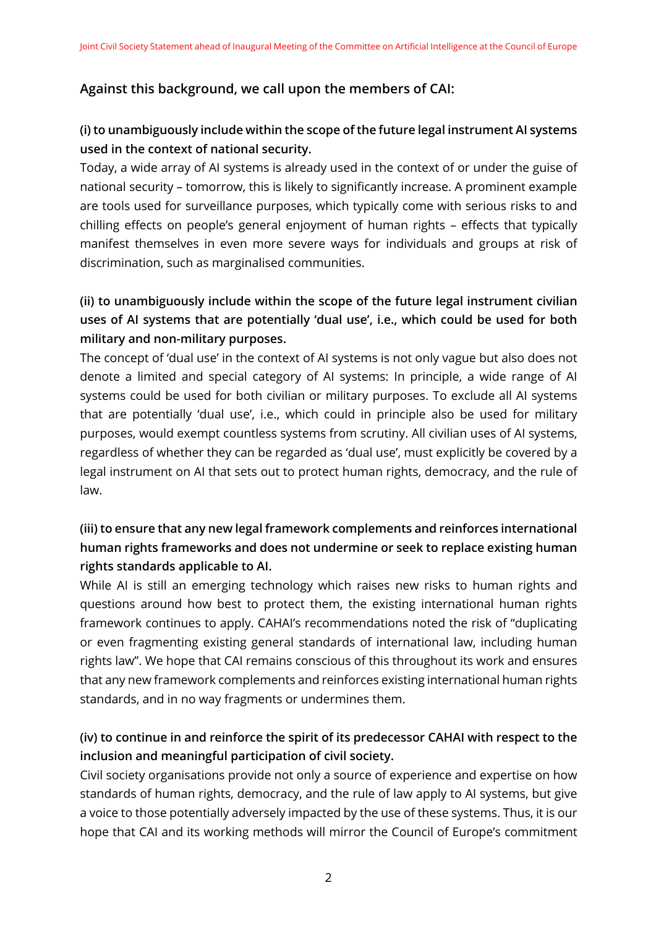#### **Against this background, we call upon the members of CAI:**

#### **(i) to unambiguously include within the scope of the future legal instrument AI systems used in the context of national security.**

Today, a wide array of AI systems is already used in the context of or under the guise of national security – tomorrow, this is likely to significantly increase. A prominent example are tools used for surveillance purposes, which typically come with serious risks to and chilling effects on people's general enjoyment of human rights – effects that typically manifest themselves in even more severe ways for individuals and groups at risk of discrimination, such as marginalised communities.

## **(ii) to unambiguously include within the scope of the future legal instrument civilian uses of AI systems that are potentially 'dual use', i.e., which could be used for both military and non-military purposes.**

The concept of 'dual use' in the context of AI systems is not only vague but also does not denote a limited and special category of AI systems: In principle, a wide range of AI systems could be used for both civilian or military purposes. To exclude all AI systems that are potentially 'dual use', i.e., which could in principle also be used for military purposes, would exempt countless systems from scrutiny. All civilian uses of AI systems, regardless of whether they can be regarded as 'dual use', must explicitly be covered by a legal instrument on AI that sets out to protect human rights, democracy, and the rule of law.

## **(iii) to ensure that any new legal framework complements and reinforces international human rights frameworks and does not undermine or seek to replace existing human rights standards applicable to AI.**

While AI is still an emerging technology which raises new risks to human rights and questions around how best to protect them, the existing international human rights framework continues to apply. CAHAI's recommendations noted the risk of "duplicating or even fragmenting existing general standards of international law, including human rights law". We hope that CAI remains conscious of this throughout its work and ensures that any new framework complements and reinforces existing international human rights standards, and in no way fragments or undermines them.

### **(iv) to continue in and reinforce the spirit of its predecessor CAHAI with respect to the inclusion and meaningful participation of civil society.**

Civil society organisations provide not only a source of experience and expertise on how standards of human rights, democracy, and the rule of law apply to AI systems, but give a voice to those potentially adversely impacted by the use of these systems. Thus, it is our hope that CAI and its working methods will mirror the Council of Europe's commitment